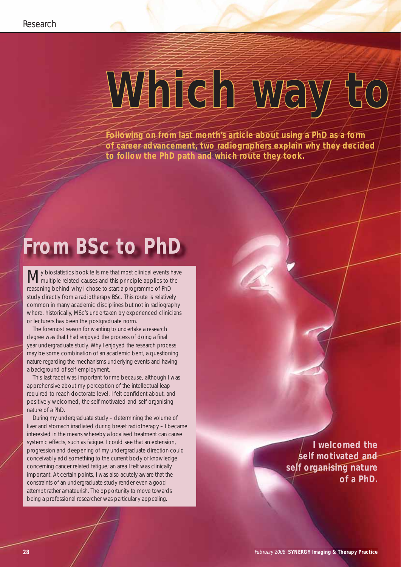## Which way to

**Following on from last month's article about using a PhD as a form of career advancement, two radiographers explain why they decided to follow the PhD path and which route they took.**

## **From BSc to PhD**

My biostatistics book tells me that most clinical events have<br>
Multiple related causes and this principle applies to the reasoning behind why I chose to start a programme of PhD study directly from a radiotherapy BSc. This route is relatively common in many academic disciplines but not in radiography where, historically, MSc's undertaken by experienced clinicians or lecturers has been the postgraduate norm.

The foremost reason for wanting to undertake a research degree was that I had enjoyed the process of doing a final year undergraduate study. Why I enjoyed the research process may be some combination of an academic bent, a questioning nature regarding the mechanisms underlying events and having a background of self-employment.

This last facet was important for me because, although I was apprehensive about my perception of the intellectual leap required to reach doctorate level, I felt confident about, and positively welcomed, the self motivated and self organising nature of a PhD.

During my undergraduate study – determining the volume of liver and stomach irradiated during breast radiotherapy – I became interested in the means whereby a localised treatment can cause systemic effects, such as fatigue. I could see that an extension, progression and deepening of my undergraduate direction could conceivably add something to the current body of knowledge concerning cancer related fatigue; an area I felt was clinically important. At certain points, I was also acutely aware that the constraints of an undergraduate study render even a good attempt rather amateurish. The opportunity to move towards being a professional researcher was particularly appealing.

**I welcomed the self motivated and self organising nature of a PhD.**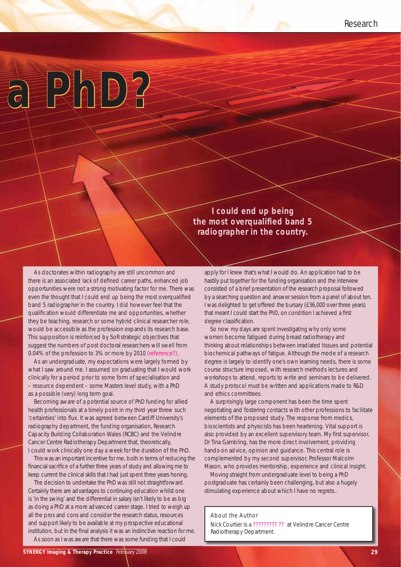

**I could end up being the most overqualified band 5 radiographer in the country.** 

As doctorates within radiography are still uncommon and there is an associated lack of defined career paths, enhanced job opportunities were not a strong motivating factor for me. There was even the thought that I could end up being the most overqualified band 5 radiographer in the country. I did however feel that the qualification would differentiate me and opportunities, whether they be teaching, research or some hybrid clinical researcher role, would be accessible as the profession expands its research base. This supposition is reinforced by SoR strategic objectives that suggest the numbers of post doctoral researchers will swell from 0.04% of the profession to 3% or more by 2010 (reference?).

As an undergraduate, my expectations were largely formed by what I saw around me. I assumed on graduating that I would work clinically for a period prior to some form of specialisation and – resource dependent – some Masters level study, with a PhD as a possible (very) long term goal.

Becoming aware of a potential source of PhD funding for allied health professionals at a timely point in my third year threw such 'certainties' into flux. It was agreed between Cardiff University's radiography department, the funding organisation, Research Capacity Building Collaboration Wales (RCBC) and the Velindre Cancer Centre Radiotherapy Department that, theoretically, I could work clinically one day a week for the duration of the PhD.

This was an important incentive for me, both in terms of reducing the financial sacrifice of a further three years of study and allowing me to keep current the clinical skills that I had just spent three years honing.

The decision to undertake the PhD was still not straightforward. Certainly there are advantages to continuing education whilst one is 'in the swing' and the differential in salary isn't likely to be as big as doing a PhD at a more advanced career stage. I tried to weigh up all the pros and cons and consider the research status, resources and support likely to be available at my prospective educational institution, but in the final analysis it was an instinctive reaction for me.

As soon as I was aware that there was some funding that I could

apply for I knew that's what I would do. An application had to be hastily put together for the funding organisation and the interview consisted of a brief presentation of the research proposal followed by a searching question and answer session from a panel of about ten. I was delighted to get offered the bursary (£36,000 over three years) that meant I could start the PhD, on condition I achieved a first degree classification.

So now my days are spent investigating why only some women become fatigued during breast radiotherapy and thinking about relationships between irradiated tissues and potential biochemical pathways of fatigue. Although the mode of a research degree is largely to identify one's own learning needs, there is some course structure imposed, with research methods lectures and workshops to attend, reports to write and seminars to be delivered. A study protocol must be written and applications made to R&D and ethics committees.

A surprisingly large component has been the time spent negotiating and fostering contacts with other professions to facilitate elements of the proposed study. The response from medics, bioscientists and physicists has been heartening. Vital support is also provided by an excellent supervisory team. My first supervisor, Dr Tina Gambling, has the more direct involvement, providing hands-on advice, opinion and guidance. This central role is complemented by my second supervisor, Professor Malcolm Mason, who provides mentorship, experience and clinical insight.

Moving straight from undergraduate level to being a PhD postgraduate has certainly been challenging, but also a hugely stimulating experience about which I have no regrets..

## About the Author

Nick Courtier is a ????????? ?? at Velindre Cancer Centre Radiotherapy Department.